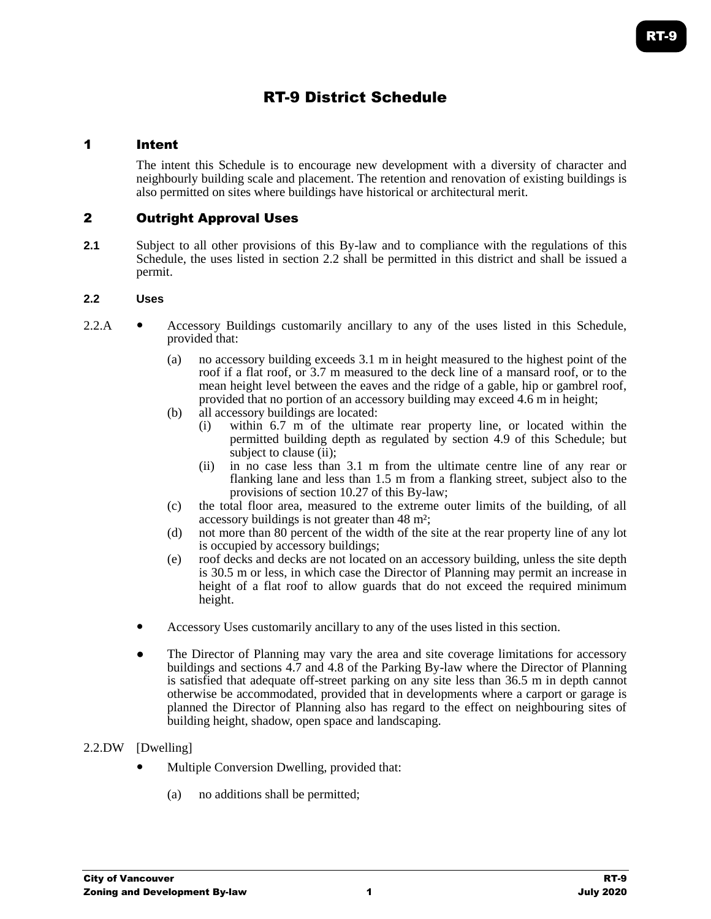# RT-9 District Schedule

## 1 Intent

The intent this Schedule is to encourage new development with a diversity of character and neighbourly building scale and placement. The retention and renovation of existing buildings is also permitted on sites where buildings have historical or architectural merit.

# 2 Outright Approval Uses

**2.1** Subject to all other provisions of this By-law and to compliance with the regulations of this Schedule, the uses listed in section 2.2 shall be permitted in this district and shall be issued a permit.

#### **2.2 Uses**

- 2.2.A Accessory Buildings customarily ancillary to any of the uses listed in this Schedule, provided that:
	- (a) no accessory building exceeds 3.1 m in height measured to the highest point of the roof if a flat roof, or 3.7 m measured to the deck line of a mansard roof, or to the mean height level between the eaves and the ridge of a gable, hip or gambrel roof, provided that no portion of an accessory building may exceed 4.6 m in height;
	- (b) all accessory buildings are located:
		- (i) within 6.7 m of the ultimate rear property line, or located within the permitted building depth as regulated by section 4.9 of this Schedule; but subject to clause (ii);
		- (ii) in no case less than 3.1 m from the ultimate centre line of any rear or flanking lane and less than 1.5 m from a flanking street, subject also to the provisions of section 10.27 of this By-law;
	- (c) the total floor area, measured to the extreme outer limits of the building, of all accessory buildings is not greater than 48 m²;
	- (d) not more than 80 percent of the width of the site at the rear property line of any lot is occupied by accessory buildings;
	- (e) roof decks and decks are not located on an accessory building, unless the site depth is 30.5 m or less, in which case the Director of Planning may permit an increase in height of a flat roof to allow guards that do not exceed the required minimum height.
	- Accessory Uses customarily ancillary to any of the uses listed in this section.
	- The Director of Planning may vary the area and site coverage limitations for accessory buildings and sections 4.7 and 4.8 of the Parking By-law where the Director of Planning is satisfied that adequate off-street parking on any site less than 36.5 m in depth cannot otherwise be accommodated, provided that in developments where a carport or garage is planned the Director of Planning also has regard to the effect on neighbouring sites of building height, shadow, open space and landscaping.

### 2.2.DW [Dwelling]

- Multiple Conversion Dwelling, provided that:
	- (a) no additions shall be permitted;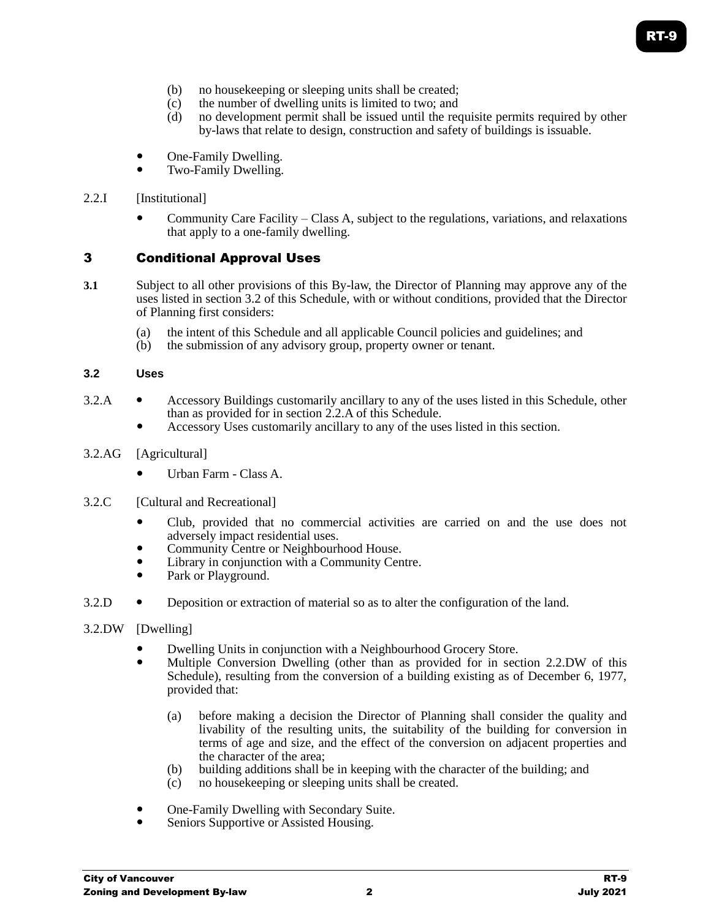- (b) no housekeeping or sleeping units shall be created;
- (c) the number of dwelling units is limited to two; and
- (d) no development permit shall be issued until the requisite permits required by other by-laws that relate to design, construction and safety of buildings is issuable.
- One-Family Dwelling.
- Two-Family Dwelling.

### 2.2.I [Institutional]

 Community Care Facility – Class A, subject to the regulations, variations, and relaxations that apply to a one-family dwelling.

## 3 Conditional Approval Uses

- **3.1** Subject to all other provisions of this By-law, the Director of Planning may approve any of the uses listed in section 3.2 of this Schedule, with or without conditions, provided that the Director of Planning first considers:
	- (a) the intent of this Schedule and all applicable Council policies and guidelines; and
	- (b) the submission of any advisory group, property owner or tenant.

#### **3.2 Uses**

- 3.2.A Accessory Buildings customarily ancillary to any of the uses listed in this Schedule, other than as provided for in section 2.2.A of this Schedule.
	- Accessory Uses customarily ancillary to any of the uses listed in this section.

#### 3.2.AG [Agricultural]

- Urban Farm Class A.
- 3.2.C [Cultural and Recreational]
	- Club, provided that no commercial activities are carried on and the use does not adversely impact residential uses.
	- Community Centre or Neighbourhood House.
	- Library in conjunction with a Community Centre.
	- Park or Playground.
- 3.2.D Deposition or extraction of material so as to alter the configuration of the land.
- 3.2.DW [Dwelling]
	- Dwelling Units in conjunction with a Neighbourhood Grocery Store.
	- Multiple Conversion Dwelling (other than as provided for in section 2.2.DW of this Schedule), resulting from the conversion of a building existing as of December 6, 1977, provided that:
		- (a) before making a decision the Director of Planning shall consider the quality and livability of the resulting units, the suitability of the building for conversion in terms of age and size, and the effect of the conversion on adjacent properties and the character of the area;
		- (b) building additions shall be in keeping with the character of the building; and
		- (c) no housekeeping or sleeping units shall be created.
	- One-Family Dwelling with Secondary Suite.
	- Seniors Supportive or Assisted Housing.

RT-9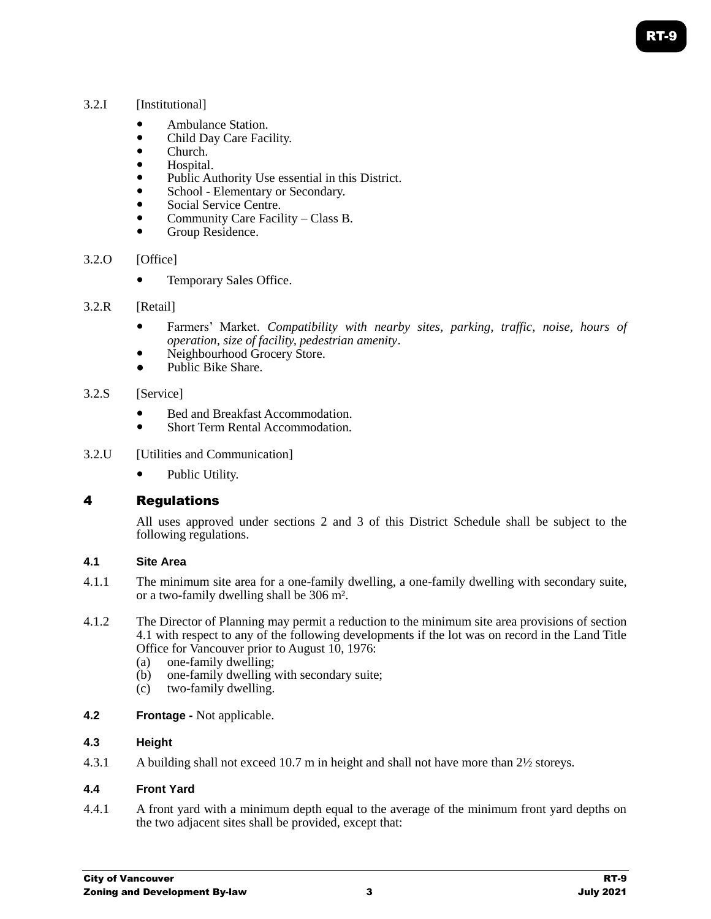## 3.2.I [Institutional]

- Ambulance Station.
- Child Day Care Facility.
- Church.
- Hospital.
- Public Authority Use essential in this District.
- School Elementary or Secondary.
- Social Service Centre.
- Community Care Facility Class B.
- Group Residence.

### 3.2.0 [Office]

Temporary Sales Office.

### 3.2.R [Retail]

- Farmers' Market. *Compatibility with nearby sites, parking, traffic, noise, hours of operation, size of facility, pedestrian amenity*.
- Neighbourhood Grocery Store.
- Public Bike Share.

### 3.2.S [Service]

- Bed and Breakfast Accommodation.
- Short Term Rental Accommodation.
- 3.2.U [Utilities and Communication]
	- Public Utility.

# 4 Regulations

All uses approved under sections 2 and 3 of this District Schedule shall be subject to the following regulations.

## **4.1 Site Area**

- 4.1.1 The minimum site area for a one-family dwelling, a one-family dwelling with secondary suite, or a two-family dwelling shall be 306 m².
- 4.1.2 The Director of Planning may permit a reduction to the minimum site area provisions of section 4.1 with respect to any of the following developments if the lot was on record in the Land Title Office for Vancouver prior to August 10, 1976:
	- (a) one-family dwelling;
	- (b) one-family dwelling with secondary suite;
	- (c) two-family dwelling.
- **4.2 Frontage -** Not applicable.

### **4.3 Height**

4.3.1 A building shall not exceed 10.7 m in height and shall not have more than 2½ storeys.

### **4.4 Front Yard**

4.4.1 A front yard with a minimum depth equal to the average of the minimum front yard depths on the two adjacent sites shall be provided, except that: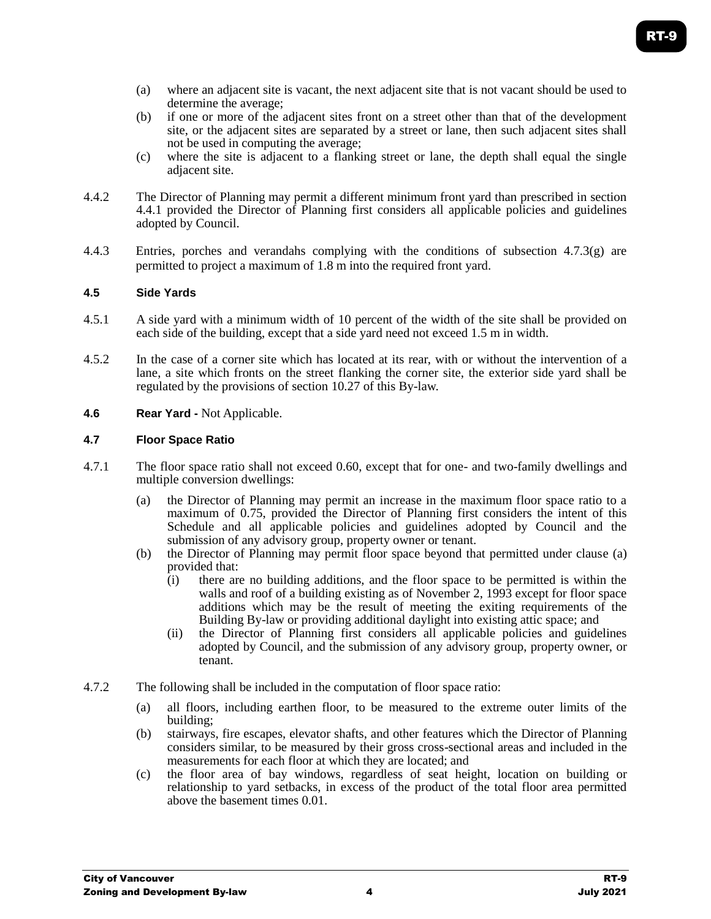- (a) where an adjacent site is vacant, the next adjacent site that is not vacant should be used to determine the average;
- (b) if one or more of the adjacent sites front on a street other than that of the development site, or the adjacent sites are separated by a street or lane, then such adjacent sites shall not be used in computing the average;
- (c) where the site is adjacent to a flanking street or lane, the depth shall equal the single adjacent site.
- 4.4.2 The Director of Planning may permit a different minimum front yard than prescribed in section 4.4.1 provided the Director of Planning first considers all applicable policies and guidelines adopted by Council.
- 4.4.3 Entries, porches and verandahs complying with the conditions of subsection 4.7.3(g) are permitted to project a maximum of 1.8 m into the required front yard.

### **4.5 Side Yards**

- 4.5.1 A side yard with a minimum width of 10 percent of the width of the site shall be provided on each side of the building, except that a side yard need not exceed 1.5 m in width.
- 4.5.2 In the case of a corner site which has located at its rear, with or without the intervention of a lane, a site which fronts on the street flanking the corner site, the exterior side yard shall be regulated by the provisions of section 10.27 of this By-law.
- **4.6 Rear Yard -** Not Applicable.

### **4.7 Floor Space Ratio**

- 4.7.1 The floor space ratio shall not exceed 0.60, except that for one- and two-family dwellings and multiple conversion dwellings:
	- (a) the Director of Planning may permit an increase in the maximum floor space ratio to a maximum of 0.75, provided the Director of Planning first considers the intent of this Schedule and all applicable policies and guidelines adopted by Council and the submission of any advisory group, property owner or tenant.
	- (b) the Director of Planning may permit floor space beyond that permitted under clause (a) provided that:
		- (i) there are no building additions, and the floor space to be permitted is within the walls and roof of a building existing as of November 2, 1993 except for floor space additions which may be the result of meeting the exiting requirements of the Building By-law or providing additional daylight into existing attic space; and
		- (ii) the Director of Planning first considers all applicable policies and guidelines adopted by Council, and the submission of any advisory group, property owner, or tenant.
- 4.7.2 The following shall be included in the computation of floor space ratio:
	- (a) all floors, including earthen floor, to be measured to the extreme outer limits of the building;
	- (b) stairways, fire escapes, elevator shafts, and other features which the Director of Planning considers similar, to be measured by their gross cross-sectional areas and included in the measurements for each floor at which they are located; and
	- (c) the floor area of bay windows, regardless of seat height, location on building or relationship to yard setbacks, in excess of the product of the total floor area permitted above the basement times 0.01.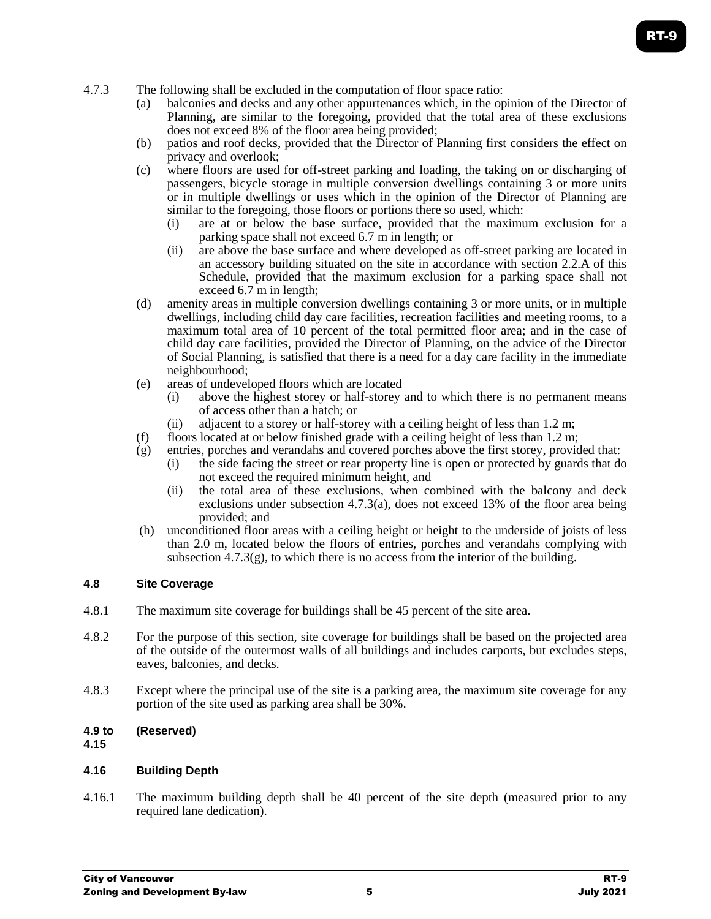- 4.7.3 The following shall be excluded in the computation of floor space ratio:
	- (a) balconies and decks and any other appurtenances which, in the opinion of the Director of Planning, are similar to the foregoing, provided that the total area of these exclusions does not exceed 8% of the floor area being provided;
	- (b) patios and roof decks, provided that the Director of Planning first considers the effect on privacy and overlook;
	- (c) where floors are used for off-street parking and loading, the taking on or discharging of passengers, bicycle storage in multiple conversion dwellings containing 3 or more units or in multiple dwellings or uses which in the opinion of the Director of Planning are similar to the foregoing, those floors or portions there so used, which:
		- (i) are at or below the base surface, provided that the maximum exclusion for a parking space shall not exceed 6.7 m in length; or
		- (ii) are above the base surface and where developed as off-street parking are located in an accessory building situated on the site in accordance with section 2.2.A of this Schedule, provided that the maximum exclusion for a parking space shall not exceed 6.7 m in length;
	- (d) amenity areas in multiple conversion dwellings containing 3 or more units, or in multiple dwellings, including child day care facilities, recreation facilities and meeting rooms, to a maximum total area of 10 percent of the total permitted floor area; and in the case of child day care facilities, provided the Director of Planning, on the advice of the Director of Social Planning, is satisfied that there is a need for a day care facility in the immediate neighbourhood;
	- (e) areas of undeveloped floors which are located
		- (i) above the highest storey or half-storey and to which there is no permanent means of access other than a hatch; or
		- (ii) adjacent to a storey or half-storey with a ceiling height of less than 1.2 m;
	- (f) floors located at or below finished grade with a ceiling height of less than  $1.2$  m;
	- (g) entries, porches and verandahs and covered porches above the first storey, provided that:
		- (i) the side facing the street or rear property line is open or protected by guards that do not exceed the required minimum height, and
		- (ii) the total area of these exclusions, when combined with the balcony and deck exclusions under subsection 4.7.3(a), does not exceed 13% of the floor area being provided; and
	- (h) unconditioned floor areas with a ceiling height or height to the underside of joists of less than 2.0 m, located below the floors of entries, porches and verandahs complying with subsection  $4.7.3(g)$ , to which there is no access from the interior of the building.

### **4.8 Site Coverage**

- 4.8.1 The maximum site coverage for buildings shall be 45 percent of the site area.
- 4.8.2 For the purpose of this section, site coverage for buildings shall be based on the projected area of the outside of the outermost walls of all buildings and includes carports, but excludes steps, eaves, balconies, and decks.
- 4.8.3 Except where the principal use of the site is a parking area, the maximum site coverage for any portion of the site used as parking area shall be 30%.

### **4.9 to (Reserved)**

**4.15**

### **4.16 Building Depth**

4.16.1 The maximum building depth shall be 40 percent of the site depth (measured prior to any required lane dedication).